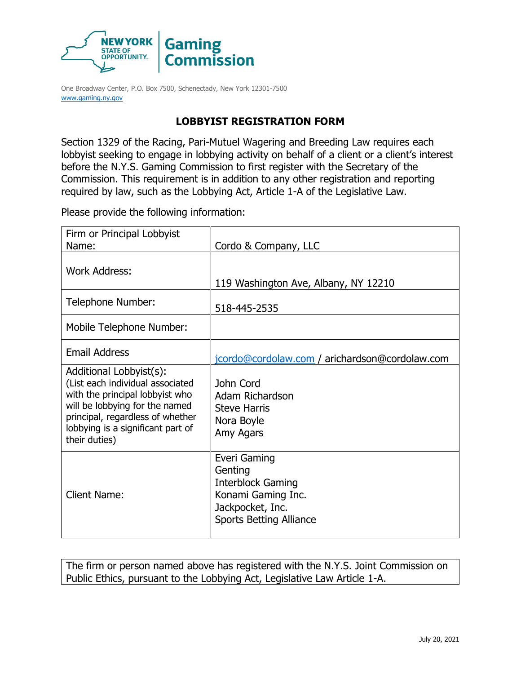

One Broadway Center, P.O. Box 7500, Schenectady, New York 12301-7500 [www.gaming.ny.gov](http://www.gaming.ny.gov/)

## **LOBBYIST REGISTRATION FORM**

Section 1329 of the Racing, Pari-Mutuel Wagering and Breeding Law requires each lobbyist seeking to engage in lobbying activity on behalf of a client or a client's interest before the N.Y.S. Gaming Commission to first register with the Secretary of the Commission. This requirement is in addition to any other registration and reporting required by law, such as the Lobbying Act, Article 1-A of the Legislative Law.

Please provide the following information:

| Firm or Principal Lobbyist<br>Name:                                                                                                                                                                                        | Cordo & Company, LLC                                                                                                            |
|----------------------------------------------------------------------------------------------------------------------------------------------------------------------------------------------------------------------------|---------------------------------------------------------------------------------------------------------------------------------|
| <b>Work Address:</b>                                                                                                                                                                                                       | 119 Washington Ave, Albany, NY 12210                                                                                            |
| Telephone Number:                                                                                                                                                                                                          | 518-445-2535                                                                                                                    |
| Mobile Telephone Number:                                                                                                                                                                                                   |                                                                                                                                 |
| <b>Email Address</b>                                                                                                                                                                                                       | jcordo@cordolaw.com / arichardson@cordolaw.com                                                                                  |
| Additional Lobbyist(s):<br>(List each individual associated<br>with the principal lobbyist who<br>will be lobbying for the named<br>principal, regardless of whether<br>lobbying is a significant part of<br>their duties) | John Cord<br>Adam Richardson<br><b>Steve Harris</b><br>Nora Boyle<br>Amy Agars                                                  |
| <b>Client Name:</b>                                                                                                                                                                                                        | Everi Gaming<br>Genting<br><b>Interblock Gaming</b><br>Konami Gaming Inc.<br>Jackpocket, Inc.<br><b>Sports Betting Alliance</b> |

The firm or person named above has registered with the N.Y.S. Joint Commission on Public Ethics, pursuant to the Lobbying Act, Legislative Law Article 1-A.